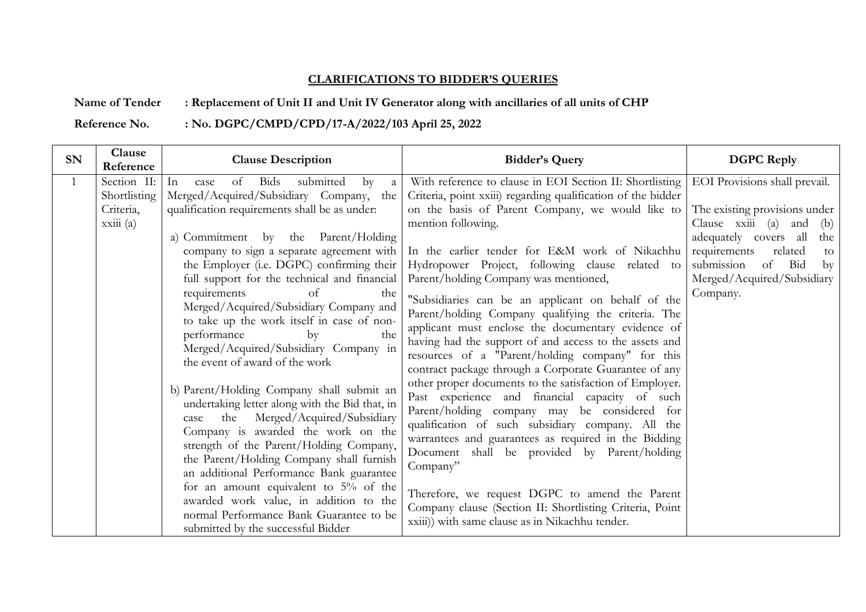## **CLARIFICATIONS TO BIDDER'S QUERIES**

## **Name of Tender : Replacement of Unit II and Unit IV Generator along with ancillaries of all units of CHP**

**Reference No. : No. DGPC/CMPD/CPD/17-A/2022/103 April 25, 2022**

| <b>SN</b>    | Clause<br>Reference                                   | <b>Clause Description</b>                                                                                                                                                                                                                                                                                                                                                                                                                                                                                                                                                                                                                                                                                                                                                                                                                                                                                                                                                                                                                                               | <b>Bidder's Query</b>                                                                                                                                                                                                                                                                                                                                                                                                                                                                                                                                                                                                                                                                                                                                                                                                                                                                                                                                                                                                                                                                                                                                                                             | <b>DGPC</b> Reply                                                                                                                                                                                                                                   |  |
|--------------|-------------------------------------------------------|-------------------------------------------------------------------------------------------------------------------------------------------------------------------------------------------------------------------------------------------------------------------------------------------------------------------------------------------------------------------------------------------------------------------------------------------------------------------------------------------------------------------------------------------------------------------------------------------------------------------------------------------------------------------------------------------------------------------------------------------------------------------------------------------------------------------------------------------------------------------------------------------------------------------------------------------------------------------------------------------------------------------------------------------------------------------------|---------------------------------------------------------------------------------------------------------------------------------------------------------------------------------------------------------------------------------------------------------------------------------------------------------------------------------------------------------------------------------------------------------------------------------------------------------------------------------------------------------------------------------------------------------------------------------------------------------------------------------------------------------------------------------------------------------------------------------------------------------------------------------------------------------------------------------------------------------------------------------------------------------------------------------------------------------------------------------------------------------------------------------------------------------------------------------------------------------------------------------------------------------------------------------------------------|-----------------------------------------------------------------------------------------------------------------------------------------------------------------------------------------------------------------------------------------------------|--|
| $\mathbf{1}$ | Section II:<br>Shortlisting<br>Criteria,<br>xxiii (a) | Bids<br>submitted<br>of<br>In<br>$\mathbf{b}$<br>case<br><sub>a</sub><br>Merged/Acquired/Subsidiary Company, the<br>qualification requirements shall be as under:<br>a) Commitment by the Parent/Holding<br>company to sign a separate agreement with<br>the Employer (i.e. DGPC) confirming their<br>full support for the technical and financial<br>requirements<br>of<br>the<br>Merged/Acquired/Subsidiary Company and<br>to take up the work itself in case of non-<br>performance<br>the<br>by<br>Merged/Acquired/Subsidiary Company in<br>the event of award of the work<br>b) Parent/Holding Company shall submit an<br>undertaking letter along with the Bid that, in<br>the Merged/Acquired/Subsidiary<br>case<br>Company is awarded the work on the<br>strength of the Parent/Holding Company,<br>the Parent/Holding Company shall furnish<br>an additional Performance Bank guarantee<br>for an amount equivalent to $5\%$ of the<br>awarded work value, in addition to the<br>normal Performance Bank Guarantee to be<br>submitted by the successful Bidder | With reference to clause in EOI Section II: Shortlisting<br>Criteria, point xxiii) regarding qualification of the bidder<br>on the basis of Parent Company, we would like to<br>mention following.<br>In the earlier tender for E&M work of Nikachhu<br>Hydropower Project, following clause related to<br>Parent/holding Company was mentioned,<br>"Subsidiaries can be an applicant on behalf of the<br>Parent/holding Company qualifying the criteria. The<br>applicant must enclose the documentary evidence of<br>having had the support of and access to the assets and<br>resources of a "Parent/holding company" for this<br>contract package through a Corporate Guarantee of any<br>other proper documents to the satisfaction of Employer.<br>Past experience and financial capacity of such<br>Parent/holding company may be considered for<br>qualification of such subsidiary company. All the<br>warrantees and guarantees as required in the Bidding<br>Document shall be provided by Parent/holding<br>Company"<br>Therefore, we request DGPC to amend the Parent<br>Company clause (Section II: Shortlisting Criteria, Point<br>xxiii)) with same clause as in Nikachhu tender. | EOI Provisions shall prevail.<br>The existing provisions under<br>Clause xxiii (a) and<br>(b)<br>adequately covers all<br>the<br>requirements<br>related<br>to<br>submission<br>Bid<br>of<br>$\mathbf{b}$<br>Merged/Acquired/Subsidiary<br>Company. |  |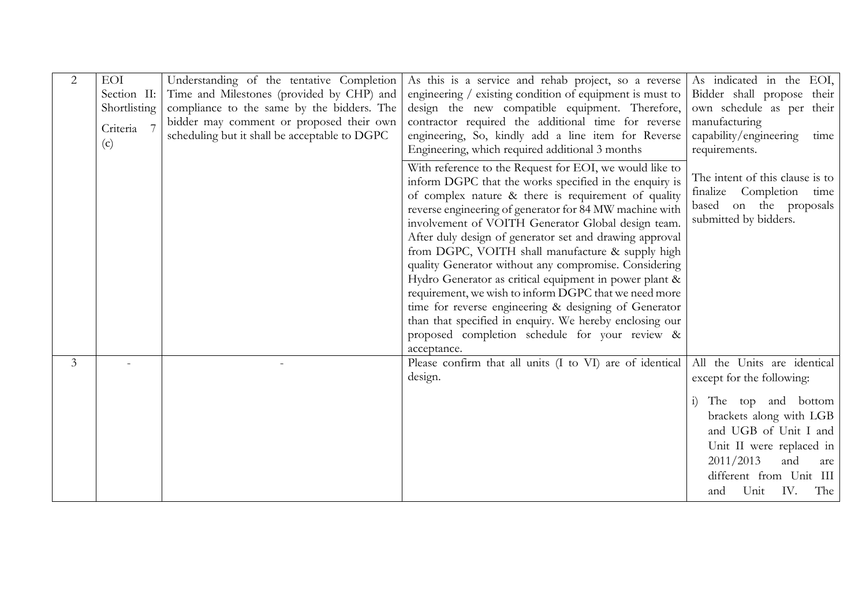| $\overline{2}$ | EOI<br>Section II:<br>Shortlisting<br>Criteria<br>(c) | Understanding of the tentative Completion<br>Time and Milestones (provided by CHP) and<br>compliance to the same by the bidders. The<br>bidder may comment or proposed their own<br>scheduling but it shall be acceptable to DGPC | As this is a service and rehab project, so a reverse<br>engineering $/$ existing condition of equipment is must to<br>design the new compatible equipment. Therefore,<br>contractor required the additional time for reverse<br>engineering, So, kindly add a line item for Reverse<br>Engineering, which required additional 3 months<br>With reference to the Request for EOI, we would like to<br>inform DGPC that the works specified in the enquiry is<br>of complex nature & there is requirement of quality<br>reverse engineering of generator for 84 MW machine with<br>involvement of VOITH Generator Global design team.<br>After duly design of generator set and drawing approval<br>from DGPC, VOITH shall manufacture & supply high<br>quality Generator without any compromise. Considering<br>Hydro Generator as critical equipment in power plant &<br>requirement, we wish to inform DGPC that we need more<br>time for reverse engineering & designing of Generator | As indicated in the EOI,<br>Bidder shall propose their<br>own schedule as per their<br>manufacturing<br>capability/engineering<br>time<br>requirements.<br>The intent of this clause is to<br>finalize Completion<br>time<br>based on the proposals<br>submitted by bidders. |
|----------------|-------------------------------------------------------|-----------------------------------------------------------------------------------------------------------------------------------------------------------------------------------------------------------------------------------|-----------------------------------------------------------------------------------------------------------------------------------------------------------------------------------------------------------------------------------------------------------------------------------------------------------------------------------------------------------------------------------------------------------------------------------------------------------------------------------------------------------------------------------------------------------------------------------------------------------------------------------------------------------------------------------------------------------------------------------------------------------------------------------------------------------------------------------------------------------------------------------------------------------------------------------------------------------------------------------------|------------------------------------------------------------------------------------------------------------------------------------------------------------------------------------------------------------------------------------------------------------------------------|
| $\overline{3}$ |                                                       |                                                                                                                                                                                                                                   | proposed completion schedule for your review &<br>acceptance.<br>Please confirm that all units (I to VI) are of identical<br>design.                                                                                                                                                                                                                                                                                                                                                                                                                                                                                                                                                                                                                                                                                                                                                                                                                                                    | All the Units are identical<br>except for the following:<br>The top and bottom<br>brackets along with LGB<br>and UGB of Unit I and<br>Unit II were replaced in<br>2011/2013<br>and<br>are<br>different from Unit III<br>Unit IV. The<br>and                                  |